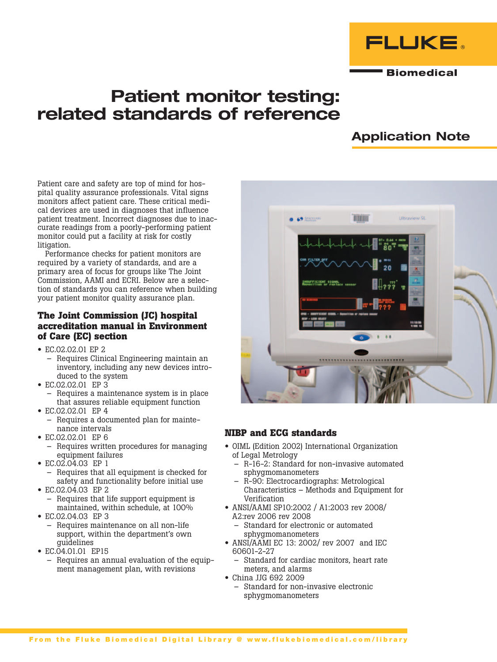

**Biomedical** 

# Patient monitor testing: related standards of reference

## Application Note

Patient care and safety are top of mind for hospital quality assurance professionals. Vital signs monitors affect patient care. These critical medical devices are used in diagnoses that influence patient treatment. Incorrect diagnoses due to inaccurate readings from a poorly-performing patient monitor could put a facility at risk for costly litigation.

Performance checks for patient monitors are required by a variety of standards, and are a primary area of focus for groups like The Joint Commission, AAMI and ECRI. Below are a selection of standards you can reference when building your patient monitor quality assurance plan.

## **The Joint Commission (JC) hospital accreditation manual in Environment of Care (EC) section**

- EC.02.02.01 EP 2
	- Requires Clinical Engineering maintain an inventory, including any new devices introduced to the system
- EC.02.02.01 EP 3
	- Requires a maintenance system is in place that assures reliable equipment function
- EC.02.02.01 EP 4
	- Requires a documented plan for maintenance intervals
- EC.02.02.01 EP 6
	- Requires written procedures for managing equipment failures
- EC.02.04.03 EP 1
	- Requires that all equipment is checked for safety and functionality before initial use
- EC.02.04.03 EP 2
	- Requires that life support equipment is maintained, within schedule, at 100%
- EC.02.04.03 EP 3
	- Requires maintenance on all non-life support, within the department's own guidelines
- EC.04.01.01 EP15
- Requires an annual evaluation of the equipment management plan, with revisions



## **NIBP and ECG standards**

- OIML (Edition 2002) International Organization of Legal Metrology
	- R-16-2: Standard for non-invasive automated sphygmomanometers
	- R-90: Electrocardiographs: Metrological Characteristics – Methods and Equipment for Verification
- ANSI/AAMI SP10:2002 / A1:2003 rev 2008/ A2:rev 2006 rev 2008
	- Standard for electronic or automated sphygmomanometers
- ANSI/AAMI EC 13: 2002/ rev 2007 and IEC 60601-2-27
	- Standard for cardiac monitors, heart rate meters, and alarms
- China JJG 692 2009
	- Standard for non-invasive electronic sphygmomanometers